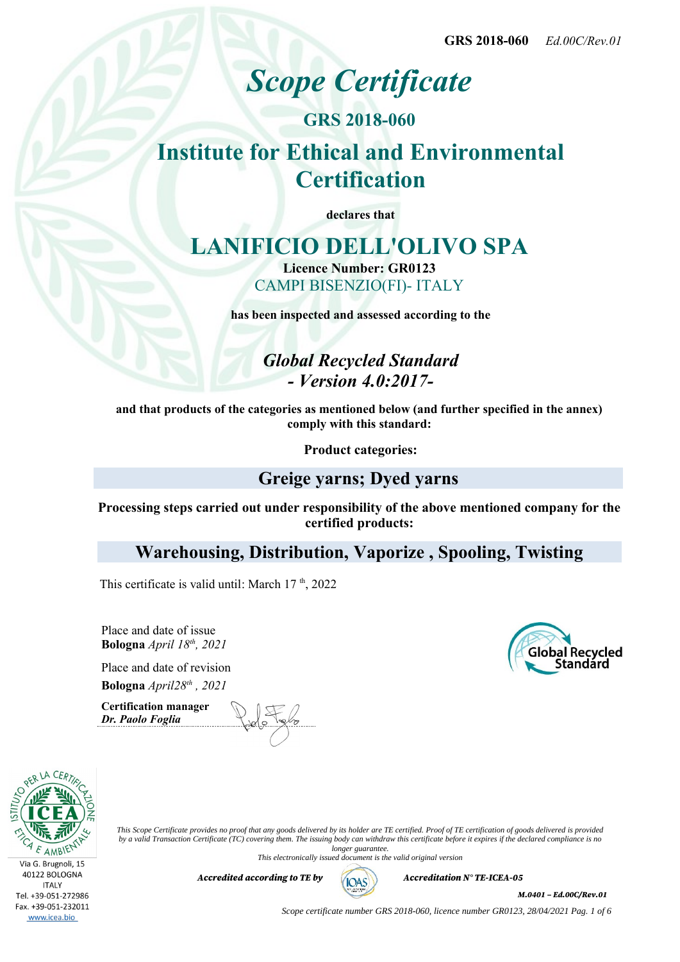# *Scope Certificate*

**GRS 2018-060**

# **Institute for Ethical and Environmental Certification**

**declares that**

# **LANIFICIO DELL'OLIVO SPA**

**Licence Number: GR0123** CAMPI BISENZIO(FI)- ITALY

**has been inspected and assessed according to the**

*Global Recycled Standard - Version 4.0:2017-*

**and that products of the categories as mentioned below (and further specified in the annex) comply with this standard:**

**Product categories:**

### **Greige yarns; Dyed yarns**

**Processing steps carried out under responsibility of the above mentioned company for the certified products:**

**Warehousing, Distribution, Vaporize , Spooling, Twisting**

This certificate is valid until: March  $17<sup>th</sup>$ , 2022

Place and date of issue **Bologna** *April 18th, 2021*

Place and date of revision **Bologna** *April28th , 2021*

**Certification manager** *Dr. Paolo Foglia*





*This Scope Certificate provides no proof that any goods delivered by its holder are TE certified. Proof of TE certification of goods delivered is provided by a valid Transaction Certificate (TC) covering them. The issuing body can withdraw this certificate before it expires if the declared compliance is no longer guarantee.*

*This electronically issued document is the valid original version*

*Accredited according to TE by*  $(AOS)$  *Accreditation N° TE-ICEA-05* 



*M.0401 – Ed.00C/Rev.01*

*Scope certificate number GRS 2018-060, licence number GR0123, 28/04/2021 Pag. 1 of 6*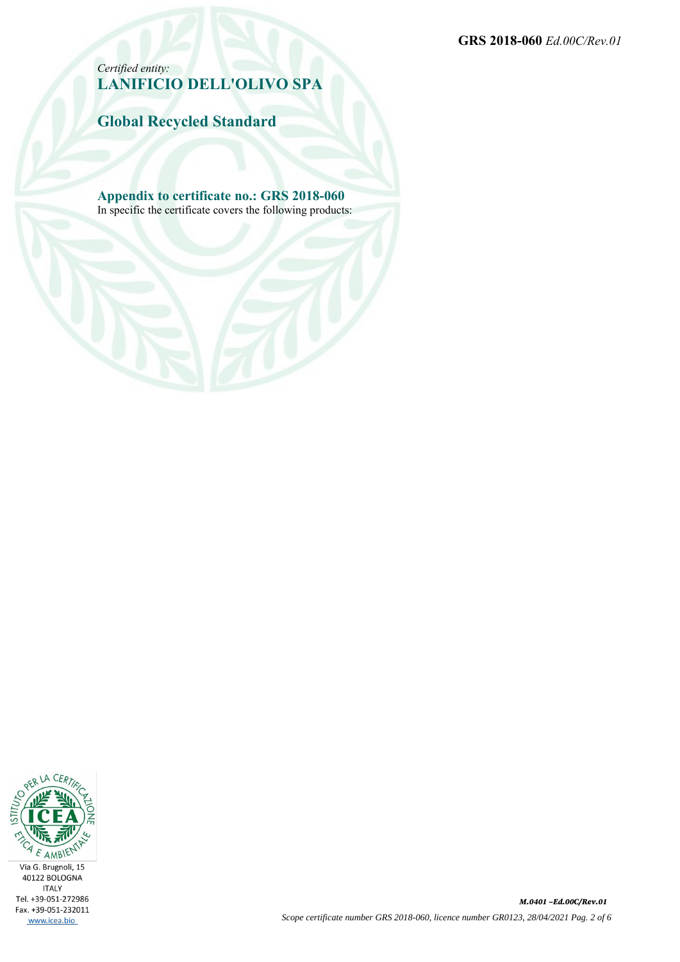**GRS 2018-060** *Ed.00C/Rev.01*

*Certified entity:* **LANIFICIO DELL'OLIVO SPA**

**Global Recycled Standard**

**Appendix to certificate no.: GRS 2018-060** In specific the certificate covers the following products:

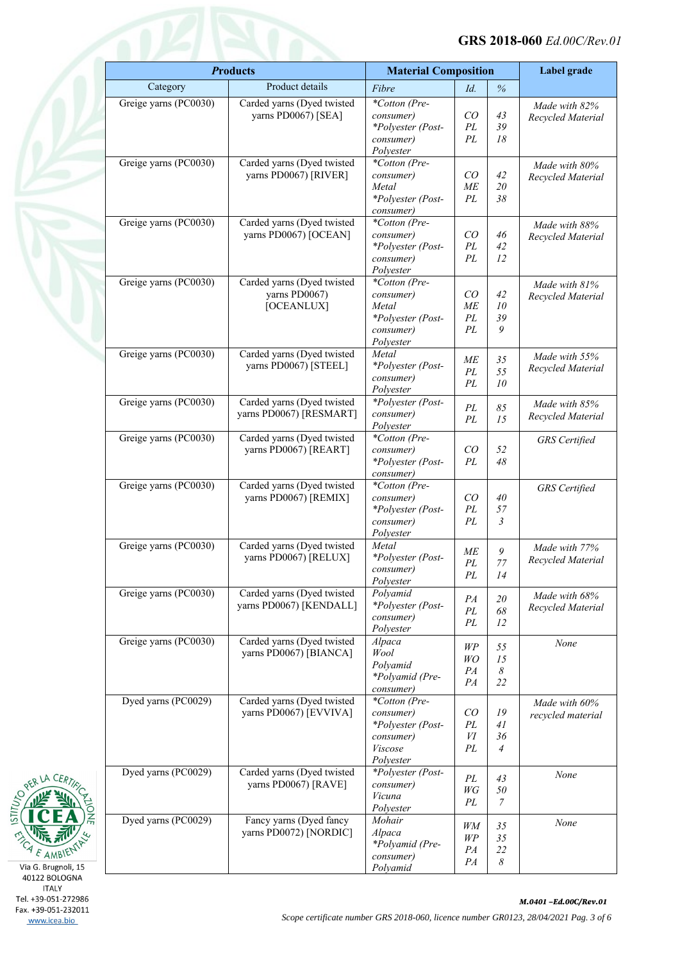| <b>Products</b>       |                                                     | <b>Material Composition</b>    |           | Label grade           |                      |
|-----------------------|-----------------------------------------------------|--------------------------------|-----------|-----------------------|----------------------|
| Category              | Product details                                     | Fibre                          | Id.       | $\%$                  |                      |
| Greige yarns (PC0030) | Carded yarns (Dyed twisted                          | *Cotton (Pre-                  |           |                       | Made with 82%        |
|                       | yarns PD0067) [SEA]                                 | consumer)                      | CO        | 43                    | Recycled Material    |
|                       |                                                     | *Polyester (Post-              | PL        | 39                    |                      |
|                       |                                                     | consumer)                      | PL        | 18                    |                      |
| Greige yarns (PC0030) | Carded yarns (Dyed twisted                          | Polyester<br>*Cotton (Pre-     |           |                       |                      |
|                       | yarns PD0067) [RIVER]                               | consumer)                      | CO        | 42                    | Made with 80%        |
|                       |                                                     | Metal                          | <b>ME</b> | 20                    | Recycled Material    |
|                       |                                                     | *Polyester (Post-              | PL        | 38                    |                      |
|                       |                                                     | consumer)                      |           |                       |                      |
| Greige yarns (PC0030) | Carded yarns (Dyed twisted                          | *Cotton (Pre-                  |           |                       | Made with 88%        |
|                       | yarns PD0067) [OCEAN]                               | consumer)                      | CO        | 46                    | Recycled Material    |
|                       |                                                     | *Polyester (Post-              | PL<br>PL  | 42<br>12              |                      |
|                       |                                                     | consumer)<br>Polyester         |           |                       |                      |
| Greige yarns (PC0030) | Carded yarns (Dyed twisted                          | *Cotton (Pre-                  |           |                       | Made with 81%        |
|                       | yarns PD0067)                                       | consumer)                      | CO        | 42                    | Recycled Material    |
|                       | [OCEANLUX]                                          | Metal                          | ME        | 10                    |                      |
|                       |                                                     | *Polyester (Post-              | PL        | 39                    |                      |
|                       |                                                     | consumer)                      | PL        | 9                     |                      |
|                       |                                                     | Polyester                      |           |                       |                      |
| Greige yarns (PC0030) | Carded yarns (Dyed twisted<br>yarns PD0067) [STEEL] | Metal                          | ME        | 35                    | Made with 55%        |
|                       |                                                     | *Polyester (Post-<br>consumer) | PL        | 55                    | Recycled Material    |
|                       |                                                     | Polyester                      | PL        | 10                    |                      |
| Greige yarns (PC0030) | Carded yarns (Dyed twisted                          | *Polyester (Post-              |           |                       | Made with 85%        |
|                       | yarns PD0067) [RESMART]                             | consumer)                      | PL<br>PL  | $85\,$<br>15          | Recycled Material    |
|                       |                                                     | Polyester                      |           |                       |                      |
| Greige yarns (PC0030) | Carded yarns (Dyed twisted                          | *Cotton (Pre-                  |           |                       | <b>GRS</b> Certified |
|                       | yarns PD0067) [REART]                               | consumer)                      | CO        | 52                    |                      |
|                       |                                                     | *Polyester (Post-              | PL        | 48                    |                      |
| Greige yarns (PC0030) | Carded yarns (Dyed twisted                          | consumer)<br>*Cotton (Pre-     |           |                       |                      |
|                       | yarns PD0067) [REMIX]                               | consumer)                      | CO        | 40                    | <b>GRS</b> Certified |
|                       |                                                     | *Polyester (Post-              | PL        | 57                    |                      |
|                       |                                                     | consumer)                      | PL        | 3                     |                      |
|                       |                                                     | Polyester                      |           |                       |                      |
| Greige yarns (PC0030) | Carded yarns (Dyed twisted                          | Metal                          | ME        | 9                     | Made with 77%        |
|                       | yarns PD0067) [RELUX]                               | *Polyester (Post-              | PL        | $77 \,$               | Recycled Material    |
|                       |                                                     | consumer)                      | PL        | 14                    |                      |
| Greige yarns (PC0030) | Carded yarns (Dyed twisted                          | Polyester<br>Polyamid          |           |                       |                      |
|                       | yarns PD0067) [KENDALL]                             | *Polyester (Post-              | PA        | 20                    | Made with 68%        |
|                       |                                                     | consumer)                      | PL        | $68\,$                | Recycled Material    |
|                       |                                                     | Polyester                      | PL        | 12                    |                      |
| Greige yarns (PC0030) | Carded yarns (Dyed twisted                          | Alpaca                         | WP        | 55                    | None                 |
|                       | yarns PD0067) [BIANCA]                              | Wool                           | WO        | 15                    |                      |
|                       |                                                     | Polyamid                       | PA        | $\boldsymbol{\delta}$ |                      |
|                       |                                                     | *Polyamid (Pre-                | PA        | 22                    |                      |
| Dyed yarns (PC0029)   | Carded yarns (Dyed twisted                          | consumer)<br>*Cotton (Pre-     |           |                       |                      |
|                       | yarns PD0067) [EVVIVA]                              | consumer)                      | CO        | ${\it 19}$            | Made with 60%        |
|                       |                                                     | *Polyester (Post-              | PL        | 41                    | recycled material    |
|                       |                                                     | consumer)                      | VI        | 36                    |                      |
|                       |                                                     | Viscose                        | PL        | $\overline{4}$        |                      |
|                       |                                                     | Polyester                      |           |                       |                      |
| Dyed yarns (PC0029)   | Carded yarns (Dyed twisted                          | *Polyester (Post-              | PL        | 43                    | None                 |
|                       | yarns PD0067) [RAVE]                                | consumer)                      | WG        | 50                    |                      |
|                       |                                                     | Vicuna<br>Polyester            | PL        | $\mathcal{I}$         |                      |
| Dyed yarns (PC0029)   | Fancy yarns (Dyed fancy                             | Mohair                         |           |                       |                      |
|                       | yarns PD0072) [NORDIC]                              | Alpaca                         | WM        | 35                    | None                 |
|                       |                                                     | *Polyamid (Pre-                | $W\!P$    | 35                    |                      |
|                       |                                                     | consumer)                      | PA<br>PA  | $22\,$<br>8           |                      |
|                       |                                                     | Polyamid                       |           |                       |                      |



**ITALY** Tel. +39-051-272986 Fax. +39-051-232011 www.icea.bio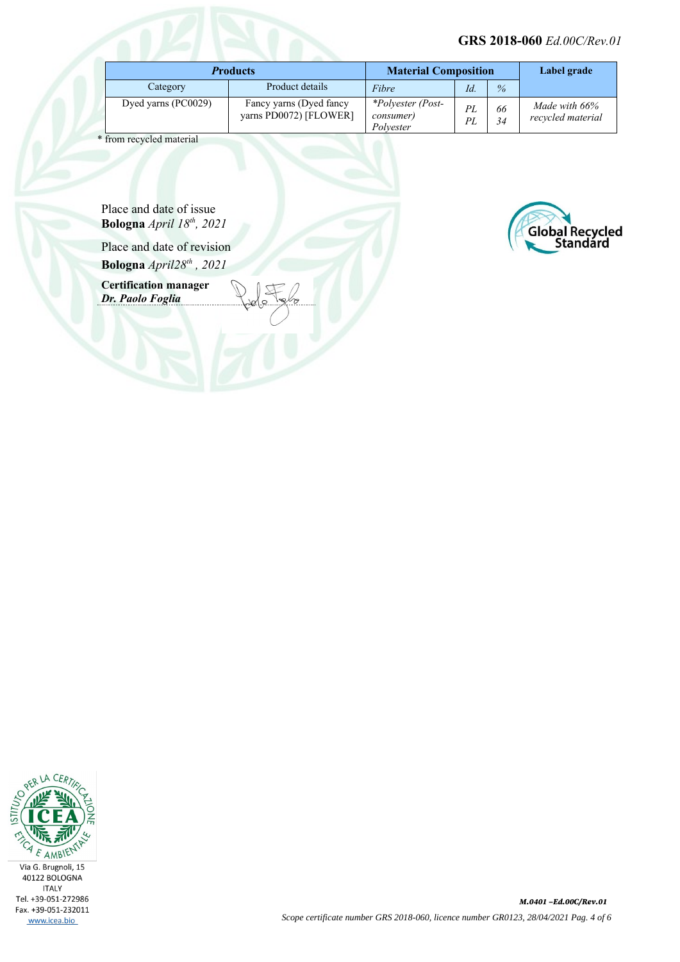#### **GRS 2018-060** *Ed.00C/Rev.01*

| <b>Products</b>     |                                                   | <b>Material Composition</b>                 |          | Label grade   |                                    |
|---------------------|---------------------------------------------------|---------------------------------------------|----------|---------------|------------------------------------|
| Category            | Product details                                   | Fibre                                       | Id.      | $\frac{9}{6}$ |                                    |
| Dyed yarns (PC0029) | Fancy yarns (Dyed fancy<br>yarns PD0072) [FLOWER] | *Polyester (Post-<br>consumer)<br>Polvester | PL<br>PL | 66<br>34      | Made with 66%<br>recycled material |

\* from recycled material

Place and date of issue **Bologna** *April 18th, 2021*

Place and date of revision **Bologna** *April28th , 2021*

**Certification manager** *Dr. Paolo Foglia*



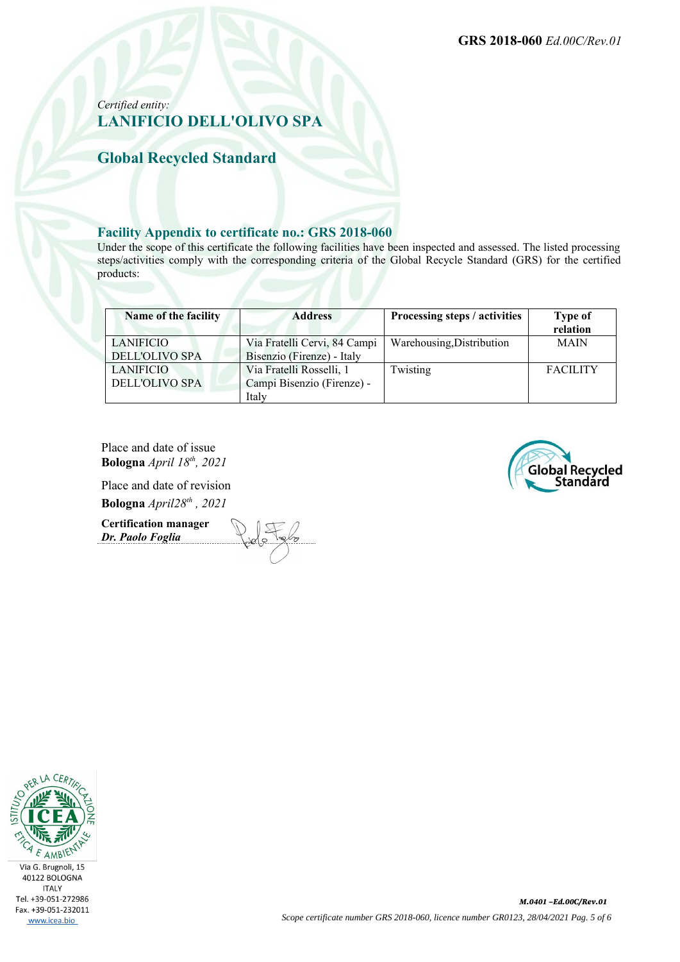### *Certified entity:* **LANIFICIO DELL'OLIVO SPA**

**Global Recycled Standard**

#### **Facility Appendix to certificate no.: GRS 2018-060**

Under the scope of this certificate the following facilities have been inspected and assessed. The listed processing steps/activities comply with the corresponding criteria of the Global Recycle Standard (GRS) for the certified products:

| Name of the facility  | <b>Address</b>               | Processing steps / activities | <b>Type of</b><br>relation |
|-----------------------|------------------------------|-------------------------------|----------------------------|
| LANIFICIO             | Via Fratelli Cervi, 84 Campi | Warehousing, Distribution     | <b>MAIN</b>                |
| DELL'OLIVO SPA        | Bisenzio (Firenze) - Italy   |                               |                            |
| LANIFICIO             | Via Fratelli Rosselli, 1     | Twisting                      | <b>FACILITY</b>            |
| <b>DELL'OLIVO SPA</b> | Campi Bisenzio (Firenze) -   |                               |                            |
|                       | Italy                        |                               |                            |

Place and date of issue **Bologna** *April 18th, 2021*

Place and date of revision **Bologna** *April28th , 2021*

**Certification manager** *Dr. Paolo Foglia*